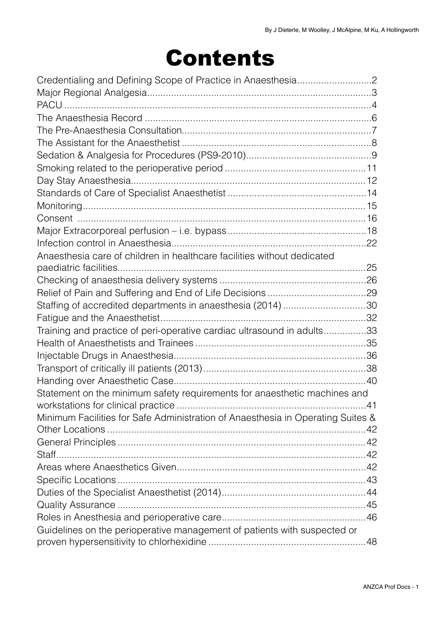# Contents

| Anaesthesia care of children in healthcare facilities without dedicated         |  |
|---------------------------------------------------------------------------------|--|
|                                                                                 |  |
|                                                                                 |  |
|                                                                                 |  |
| Staffing of accredited departments in anaesthesia (2014) 30                     |  |
|                                                                                 |  |
| Training and practice of peri-operative cardiac ultrasound in adults33          |  |
|                                                                                 |  |
|                                                                                 |  |
|                                                                                 |  |
|                                                                                 |  |
| Statement on the minimum safety requirements for anaesthetic machines and       |  |
|                                                                                 |  |
| Minimum Facilities for Safe Administration of Anaesthesia in Operating Suites & |  |
|                                                                                 |  |
|                                                                                 |  |
|                                                                                 |  |
|                                                                                 |  |
|                                                                                 |  |
|                                                                                 |  |
|                                                                                 |  |
|                                                                                 |  |
| Guidelines on the perioperative management of patients with suspected or        |  |
|                                                                                 |  |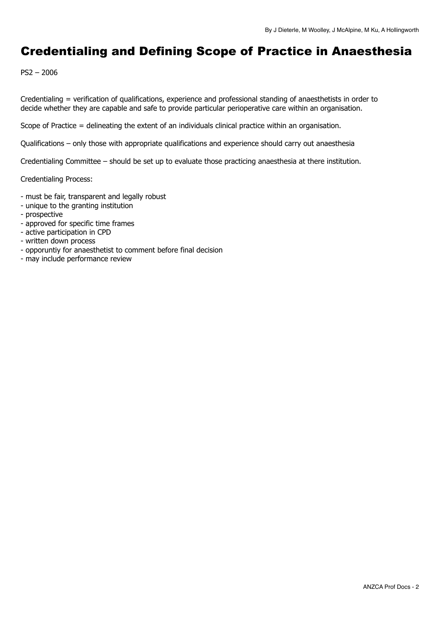## <span id="page-1-0"></span>Credentialing and Defining Scope of Practice in Anaesthesia

PS2 – 2006

Credentialing = verification of qualifications, experience and professional standing of anaesthetists in order to decide whether they are capable and safe to provide particular perioperative care within an organisation.

Scope of Practice = delineating the extent of an individuals clinical practice within an organisation.

Qualifications – only those with appropriate qualifications and experience should carry out anaesthesia

Credentialing Committee – should be set up to evaluate those practicing anaesthesia at there institution.

Credentialing Process:

- must be fair, transparent and legally robust
- unique to the granting institution
- prospective
- approved for specific time frames
- active participation in CPD
- written down process
- opporuntiy for anaesthetist to comment before final decision
- may include performance review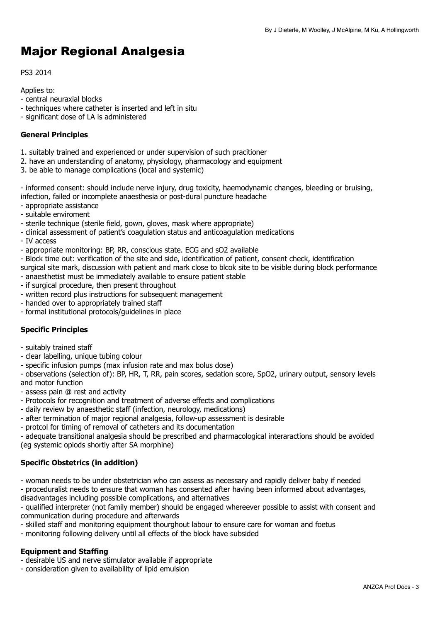## <span id="page-2-0"></span>Major Regional Analgesia

## PS3 2014

Applies to:

- central neuraxial blocks
- techniques where catheter is inserted and left in situ
- significant dose of LA is administered

## **General Principles**

- 1. suitably trained and experienced or under supervision of such pracitioner
- 2. have an understanding of anatomy, physiology, pharmacology and equipment
- 3. be able to manage complications (local and systemic)

- informed consent: should include nerve injury, drug toxicity, haemodynamic changes, bleeding or bruising, infection, failed or incomplete anaesthesia or post-dural puncture headache

- appropriate assistance
- suitable enviroment
- sterile technique (sterile field, gown, gloves, mask where appropriate)
- clinical assessment of patient's coagulation status and anticoagulation medications
- IV access
- appropriate monitoring: BP, RR, conscious state. ECG and sO2 available
- Block time out: verification of the site and side, identification of patient, consent check, identification
- surgical site mark, discussion with patient and mark close to blcok site to be visible during block performance
- anaesthetist must be immediately available to ensure patient stable
- if surgical procedure, then present throughout
- written record plus instructions for subsequent management
- handed over to appropriately trained staff
- formal institutional protocols/guidelines in place

## **Specific Principles**

- suitably trained staff
- clear labelling, unique tubing colour
- specific infusion pumps (max infusion rate and max bolus dose)

- observations (selection of): BP, HR, T, RR, pain scores, sedation score, SpO2, urinary output, sensory levels and motor function

- assess pain @ rest and activity
- Protocols for recognition and treatment of adverse effects and complications
- daily review by anaesthetic staff (infection, neurology, medications)
- after termination of major regional analgesia, follow-up assessment is desirable
- protcol for timing of removal of catheters and its documentation

- adequate transitional analgesia should be prescribed and pharmacological interaractions should be avoided (eg systemic opiods shortly after SA morphine)

### **Specific Obstetrics (in addition)**

- woman needs to be under obstetrician who can assess as necessary and rapidly deliver baby if needed

- proceduralist needs to ensure that woman has consented after having been informed about advantages, disadvantages including possible complications, and alternatives

- qualified interpreter (not family member) should be engaged whereever possible to assist with consent and communication during procedure and afterwards

- skilled staff and monitoring equipment thourghout labour to ensure care for woman and foetus
- monitoring following delivery until all effects of the block have subsided

### **Equipment and Staffing**

- desirable US and nerve stimulator available if appropriate

- consideration given to availability of lipid emulsion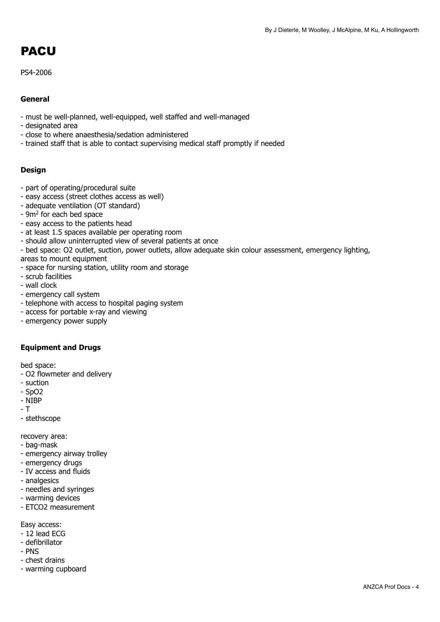## <span id="page-3-0"></span>PACU

PS4-2006

## **General**

- must be well-planned, well-equipped, well staffed and well-managed
- designated area
- close to where anaesthesia/sedation administered
- trained staff that is able to contact supervising medical staff promptly if needed

## **Design**

- part of operating/procedural suite
- easy access (street clothes access as well)
- adequate ventilation (OT standard)
- 9m2 for each bed space
- easy access to the patients head
- at least 1.5 spaces available per operating room
- should allow uninterrupted view of several patients at once
- bed space: O2 outlet, suction, power outlets, allow adequate skin colour assessment, emergency lighting, areas to mount equipment
- space for nursing station, utility room and storage
- scrub facilities
- wall clock
- emergency call system
- telephone with access to hospital paging system
- access for portable x-ray and viewing
- emergency power supply

### **Equipment and Drugs**

bed space:

- O2 flowmeter and delivery
- suction
- SpO2
- NIBP
- T

- stethscope

recovery area:

- bag-mask
- emergency airway trolley
- emergency drugs
- IV access and fluids
- analgesics
- needles and syringes
- warming devices
- ETCO2 measurement

Easy access:

- $-12$  lead ECG
- defibrillator
- PNS
- chest drains
- warming cupboard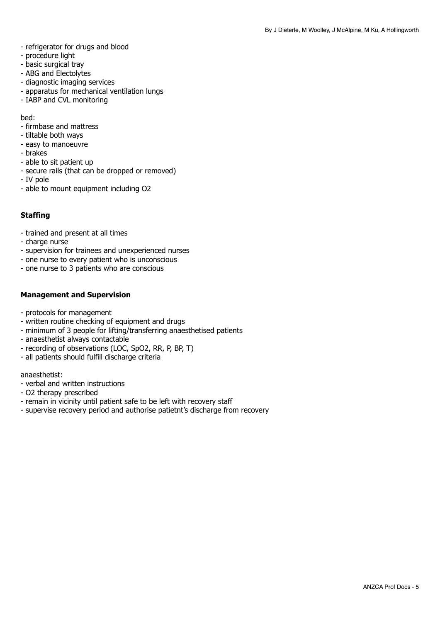- refrigerator for drugs and blood
- procedure light
- basic surgical tray
- ABG and Electolytes
- diagnostic imaging services
- apparatus for mechanical ventilation lungs
- IABP and CVL monitoring

bed:

- firmbase and mattress
- tiltable both ways
- easy to manoeuvre
- brakes
- able to sit patient up
- secure rails (that can be dropped or removed)
- IV pole
- able to mount equipment including O2

## **Staffing**

- trained and present at all times
- charge nurse
- supervision for trainees and unexperienced nurses
- one nurse to every patient who is unconscious
- one nurse to 3 patients who are conscious

### **Management and Supervision**

- protocols for management
- written routine checking of equipment and drugs
- minimum of 3 people for lifting/transferring anaesthetised patients
- anaesthetist always contactable
- recording of observations (LOC, SpO2, RR, P, BP, T)
- all patients should fulfill discharge criteria

anaesthetist:

- verbal and written instructions
- O2 therapy prescribed
- remain in vicinity until patient safe to be left with recovery staff
- supervise recovery period and authorise patietnt's discharge from recovery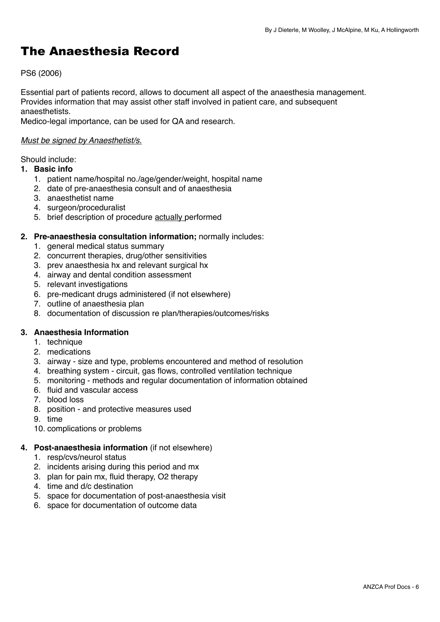## <span id="page-5-0"></span>The Anaesthesia Record

## PS6 (2006)

Essential part of patients record, allows to document all aspect of the anaesthesia management. Provides information that may assist other staff involved in patient care, and subsequent anaesthetists.

Medico-legal importance, can be used for QA and research.

## *Must be signed by Anaesthetist/s.*

Should include:

## **1. Basic info**

- 1. patient name/hospital no./age/gender/weight, hospital name
- 2. date of pre-anaesthesia consult and of anaesthesia
- 3. anaesthetist name
- 4. surgeon/proceduralist
- 5. brief description of procedure actually performed

## **2. Pre-anaesthesia consultation information;** normally includes:

- 1. general medical status summary
- 2. concurrent therapies, drug/other sensitivities
- 3. prev anaesthesia hx and relevant surgical hx
- 4. airway and dental condition assessment
- 5. relevant investigations
- 6. pre-medicant drugs administered (if not elsewhere)
- 7. outline of anaesthesia plan
- 8. documentation of discussion re plan/therapies/outcomes/risks

## **3. Anaesthesia Information**

- 1. technique
- 2. medications
- 3. airway size and type, problems encountered and method of resolution
- 4. breathing system circuit, gas flows, controlled ventilation technique
- 5. monitoring methods and regular documentation of information obtained
- 6. fluid and vascular access
- 7. blood loss
- 8. position and protective measures used
- 9. time
- 10. complications or problems

## **4. Post-anaesthesia information** (if not elsewhere)

- 1. resp/cvs/neurol status
- 2. incidents arising during this period and mx
- 3. plan for pain mx, fluid therapy, O2 therapy
- 4. time and d/c destination
- 5. space for documentation of post-anaesthesia visit
- 6. space for documentation of outcome data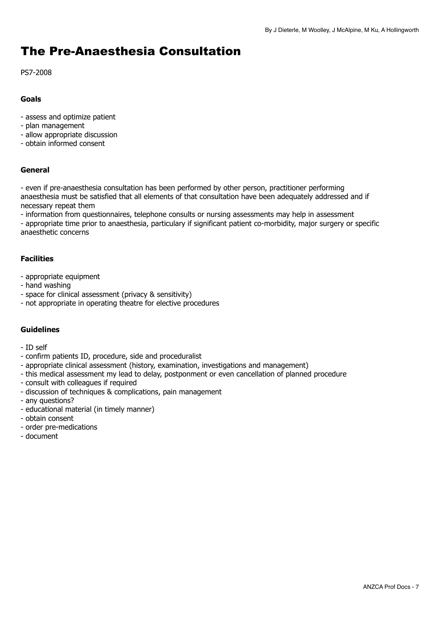## <span id="page-6-0"></span>The Pre-Anaesthesia Consultation

PS7-2008

## **Goals**

- assess and optimize patient
- plan management
- allow appropriate discussion
- obtain informed consent

## **General**

- even if pre-anaesthesia consultation has been performed by other person, practitioner performing anaesthesia must be satisfied that all elements of that consultation have been adequately addressed and if necessary repeat them

- information from questionnaires, telephone consults or nursing assessments may help in assessment

- appropriate time prior to anaesthesia, particulary if significant patient co-morbidity, major surgery or specific anaesthetic concerns

## **Facilities**

- appropriate equipment
- hand washing
- space for clinical assessment (privacy & sensitivity)
- not appropriate in operating theatre for elective procedures

## **Guidelines**

- ID self
- confirm patients ID, procedure, side and proceduralist
- appropriate clinical assessment (history, examination, investigations and management)
- this medical assessment my lead to delay, postponment or even cancellation of planned procedure
- consult with colleagues if required
- discussion of techniques & complications, pain management
- any questions?
- educational material (in timely manner)
- obtain consent
- order pre-medications
- document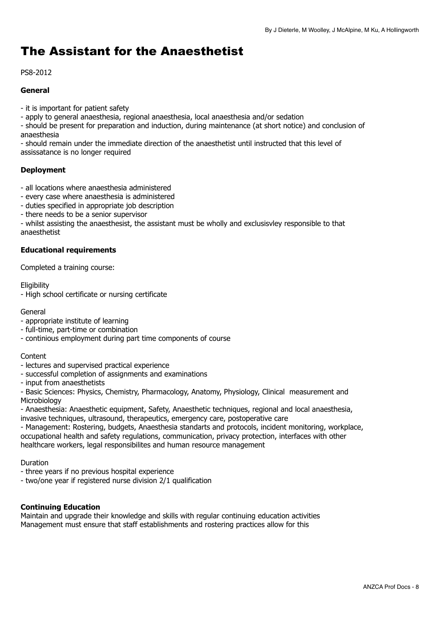## <span id="page-7-0"></span>The Assistant for the Anaesthetist

PS8-2012

## **General**

- it is important for patient safety
- apply to general anaesthesia, regional anaesthesia, local anaesthesia and/or sedation
- should be present for preparation and induction, during maintenance (at short notice) and conclusion of anaesthesia

- should remain under the immediate direction of the anaesthetist until instructed that this level of assissatance is no longer required

## **Deployment**

- all locations where anaesthesia administered
- every case where anaesthesia is administered
- duties specified in appropriate job description
- there needs to be a senior supervisor

- whilst assisting the anaesthesist, the assistant must be wholly and exclusisvley responsible to that anaesthetist

## **Educational requirements**

Completed a training course:

**Eligibility** 

- High school certificate or nursing certificate

#### **General**

- appropriate institute of learning
- full-time, part-time or combination
- continious employment during part time components of course

#### **Content**

- lectures and supervised practical experience
- successful completion of assignments and examinations
- input from anaesthetists

- Basic Sciences: Physics, Chemistry, Pharmacology, Anatomy, Physiology, Clinical measurement and **Microbiology** 

- Anaesthesia: Anaesthetic equipment, Safety, Anaesthetic techniques, regional and local anaesthesia, invasive techniques, ultrasound, therapeutics, emergency care, postoperative care

- Management: Rostering, budgets, Anaesthesia standarts and protocols, incident monitoring, workplace, occupational health and safety regulations, communication, privacy protection, interfaces with other healthcare workers, legal responsibilites and human resource management

Duration

- three years if no previous hospital experience
- two/one year if registered nurse division 2/1 qualification

### **Continuing Education**

Maintain and upgrade their knowledge and skills with regular continuing education activities Management must ensure that staff establishments and rostering practices allow for this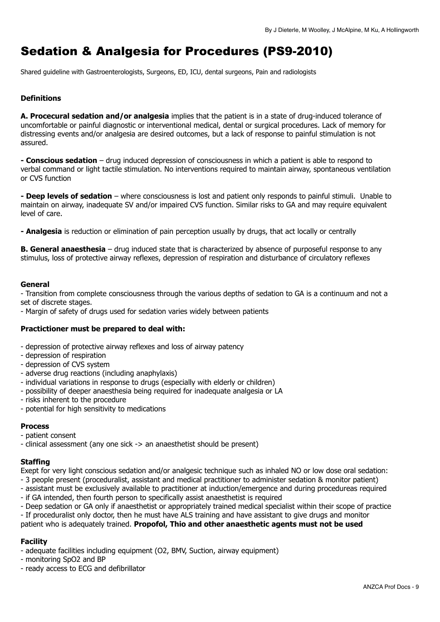## <span id="page-8-0"></span>Sedation & Analgesia for Procedures (PS9-2010)

Shared guideline with Gastroenterologists, Surgeons, ED, ICU, dental surgeons, Pain and radiologists

## **Definitions**

**A. Procecural sedation and/or analgesia** implies that the patient is in a state of drug-induced tolerance of uncomfortable or painful diagnostic or interventional medical, dental or surgical procedures. Lack of memory for distressing events and/or analgesia are desired outcomes, but a lack of response to painful stimulation is not assured.

**- Conscious sedation** – drug induced depression of consciousness in which a patient is able to respond to verbal command or light tactile stimulation. No interventions required to maintain airway, spontaneous ventilation or CVS function

**- Deep levels of sedation** – where consciousness is lost and patient only responds to painful stimuli. Unable to maintain on airway, inadequate SV and/or impaired CVS function. Similar risks to GA and may require equivalent level of care.

**- Analgesia** is reduction or elimination of pain perception usually by drugs, that act locally or centrally

**B. General anaesthesia** – drug induced state that is characterized by absence of purposeful response to any stimulus, loss of protective airway reflexes, depression of respiration and disturbance of circulatory reflexes

## **General**

- Transition from complete consciousness through the various depths of sedation to GA is a continuum and not a set of discrete stages.

- Margin of safety of drugs used for sedation varies widely between patients

## **Practictioner must be prepared to deal with:**

- depression of protective airway reflexes and loss of airway patency
- depression of respiration
- depression of CVS system
- adverse drug reactions (including anaphylaxis)
- individual variations in response to drugs (especially with elderly or children)
- possibility of deeper anaesthesia being required for inadequate analgesia or LA
- risks inherent to the procedure
- potential for high sensitivity to medications

### **Process**

- patient consent
- clinical assessment (any one sick -> an anaesthetist should be present)

### **Staffing**

Exept for very light conscious sedation and/or analgesic technique such as inhaled NO or low dose oral sedation:

- 3 people present (proceduralist, assistant and medical practitioner to administer sedation & monitor patient)
- assistant must be exclusively available to practitioner at induction/emergence and during procedureas required
- if GA intended, then fourth person to specifically assist anaesthetist is required

- Deep sedation or GA only if anaesthetist or appropriately trained medical specialist within their scope of practice

- If proceduralist only doctor, then he must have ALS training and have assistant to give drugs and monitor patient who is adequately trained. **Propofol, Thio and other anaesthetic agents must not be used** 

## **Facility**

- adequate facilities including equipment (O2, BMV, Suction, airway equipment)

- monitoring SpO2 and BP

- ready access to ECG and defibrillator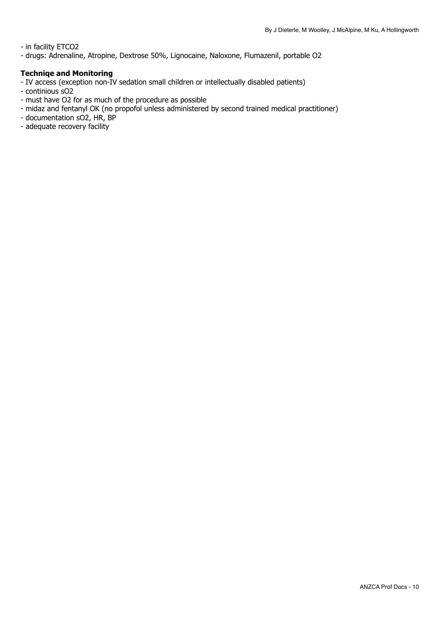- in facility ETCO2

- drugs: Adrenaline, Atropine, Dextrose 50%, Lignocaine, Naloxone, Flumazenil, portable O2

## **Techniqe and Monitoring**

- IV access (exception non-IV sedation small children or intellectually disabled patients)
- continious sO<sub>2</sub>
- must have O2 for as much of the procedure as possible
- midaz and fentanyl OK (no propofol unless administered by second trained medical practitioner)
- documentation sO<sub>2</sub>, HR, BP
- adequate recovery facility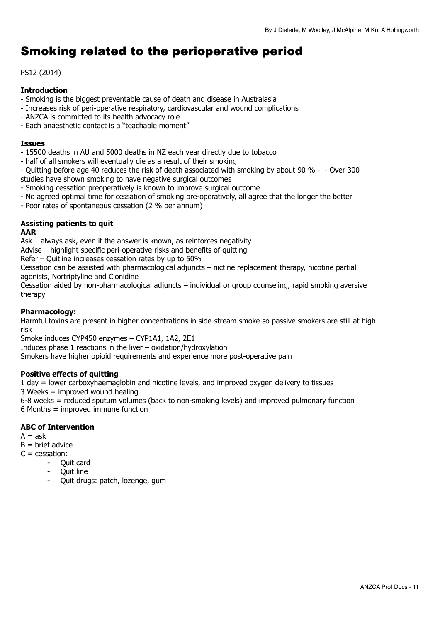## <span id="page-10-0"></span>Smoking related to the perioperative period

## PS12 (2014)

## **Introduction**

- Smoking is the biggest preventable cause of death and disease in Australasia
- Increases risk of peri-operative respiratory, cardiovascular and wound complications
- ANZCA is committed to its health advocacy role
- Each anaesthetic contact is a "teachable moment"

### **Issues**

- 15500 deaths in AU and 5000 deaths in NZ each year directly due to tobacco
- half of all smokers will eventually die as a result of their smoking
- Quitting before age 40 reduces the risk of death associated with smoking by about 90 % - Over 300 studies have shown smoking to have negative surgical outcomes
- Smoking cessation preoperatively is known to improve surgical outcome
- No agreed optimal time for cessation of smoking pre-operatively, all agree that the longer the better
- Poor rates of spontaneous cessation (2 % per annum)

## **Assisting patients to quit**

## **AAR**

Ask – always ask, even if the answer is known, as reinforces negativity

Advise – highlight specific peri-operative risks and benefits of quitting

Refer – Quitline increases cessation rates by up to 50%

Cessation can be assisted with pharmacological adjuncts – nictine replacement therapy, nicotine partial agonists, Nortriptyline and Clonidine

Cessation aided by non-pharmacological adjuncts – individual or group counseling, rapid smoking aversive therapy

## **Pharmacology:**

Harmful toxins are present in higher concentrations in side-stream smoke so passive smokers are still at high risk

Smoke induces CYP450 enzymes – CYP1A1, 1A2, 2E1

Induces phase 1 reactions in the liver – oxidation/hydroxylation

Smokers have higher opioid requirements and experience more post-operative pain

## **Positive effects of quitting**

1 day = lower carboxyhaemaglobin and nicotine levels, and improved oxygen delivery to tissues

3 Weeks = improved wound healing

6-8 weeks = reduced sputum volumes (back to non-smoking levels) and improved pulmonary function 6 Months = improved immune function

## **ABC of Intervention**

- $A = ask$
- $B = h$ rief advice
- $C = \text{cessation}$ :
	- Ouit card
	- Quit line
	- Quit drugs: patch, lozenge, gum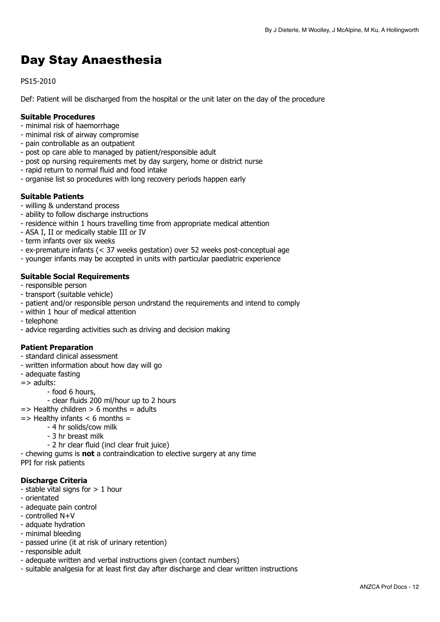## <span id="page-11-0"></span>Day Stay Anaesthesia

PS15-2010

Def: Patient will be discharged from the hospital or the unit later on the day of the procedure

## **Suitable Procedures**

- minimal risk of haemorrhage
- minimal risk of airway compromise
- pain controllable as an outpatient
- post op care able to managed by patient/responsible adult
- post op nursing requirements met by day surgery, home or district nurse
- rapid return to normal fluid and food intake
- organise list so procedures with long recovery periods happen early

## **Suitable Patients**

- willing & understand process
- ability to follow discharge instructions
- residence within 1 hours travelling time from appropriate medical attention
- ASA I, II or medically stable III or IV
- term infants over six weeks
- ex-premature infants (< 37 weeks gestation) over 52 weeks post-conceptual age
- younger infants may be accepted in units with particular paediatric experience

## **Suitable Social Requirements**

- responsible person
- transport (suitable vehicle)
- patient and/or responsible person undrstand the requirements and intend to comply
- within 1 hour of medical attention
- telephone
- advice regarding activities such as driving and decision making

## **Patient Preparation**

- standard clinical assessment
- written information about how day will go
- adequate fasting
- => adults:
	- food 6 hours,
	- clear fluids 200 ml/hour up to 2 hours
- $\Rightarrow$  Healthy children  $> 6$  months = adults
- $\Rightarrow$  Healthy infants  $\lt$  6 months =
	- 4 hr solids/cow milk
		- 3 hr breast milk
	- 2 hr clear fluid (incl clear fruit juice)

- chewing gums is **not** a contraindication to elective surgery at any time PPI for risk patients

## **Discharge Criteria**

- stable vital signs for  $> 1$  hour
- orientated
- adequate pain control
- controlled N+V
- adquate hydration
- minimal bleeding
- passed urine (it at risk of urinary retention)
- responsible adult
- adequate written and verbal instructions given (contact numbers)
- suitable analgesia for at least first day after discharge and clear written instructions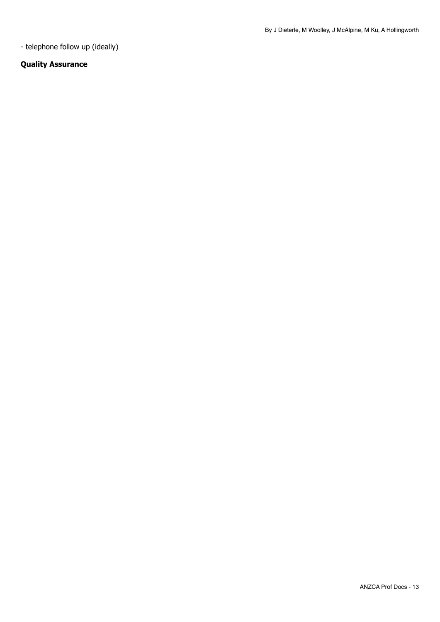- telephone follow up (ideally)

## **Quality Assurance**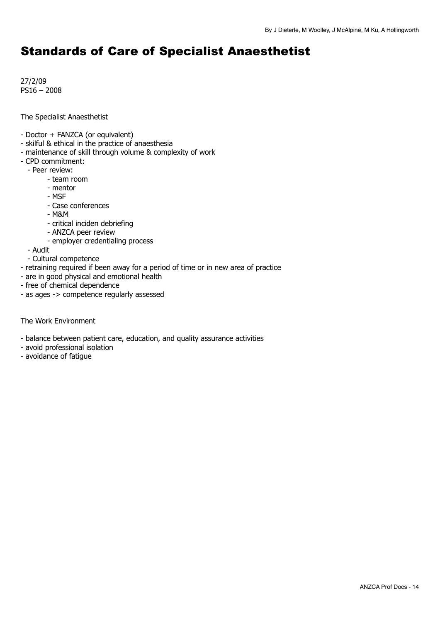## <span id="page-13-0"></span>Standards of Care of Specialist Anaesthetist

27/2/09 PS16 – 2008

The Specialist Anaesthetist

- Doctor + FANZCA (or equivalent)
- skilful & ethical in the practice of anaesthesia
- maintenance of skill through volume & complexity of work
- CPD commitment:
	- Peer review:
		- team room
		- mentor
		- MSF
		- Case conferences
		- M&M
		- critical inciden debriefing
		- ANZCA peer review
		- employer credentialing process
	- Audit
	- Cultural competence
- retraining required if been away for a period of time or in new area of practice
- are in good physical and emotional health
- free of chemical dependence
- as ages -> competence regularly assessed

The Work Environment

- balance between patient care, education, and quality assurance activities
- avoid professional isolation
- avoidance of fatigue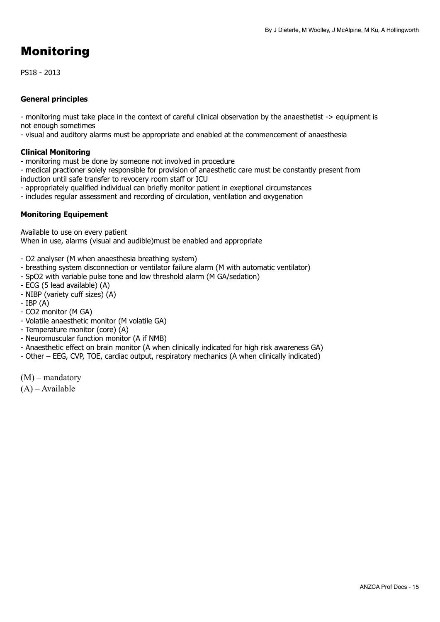## <span id="page-14-0"></span>Monitoring

PS18 - 2013

## **General principles**

- monitoring must take place in the context of careful clinical observation by the anaesthetist -> equipment is not enough sometimes

- visual and auditory alarms must be appropriate and enabled at the commencement of anaesthesia

## **Clinical Monitoring**

- monitoring must be done by someone not involved in procedure

- medical practioner solely responsible for provision of anaesthetic care must be constantly present from induction until safe transfer to revocery room staff or ICU

- appropriately qualified individual can briefly monitor patient in exeptional circumstances
- includes regular assessment and recording of circulation, ventilation and oxygenation

## **Monitoring Equipement**

Available to use on every patient When in use, alarms (visual and audible)must be enabled and appropriate

- O2 analyser (M when anaesthesia breathing system)
- breathing system disconnection or ventilator failure alarm (M with automatic ventilator)
- SpO2 with variable pulse tone and low threshold alarm (M GA/sedation)
- ECG (5 lead available) (A)
- NIBP (variety cuff sizes) (A)
- $-$  IBP  $(A)$
- CO2 monitor (M GA)
- Volatile anaesthetic monitor (M volatile GA)
- Temperature monitor (core) (A)
- Neuromuscular function monitor (A if NMB)
- Anaesthetic effect on brain monitor (A when clinically indicated for high risk awareness GA)
- Other EEG, CVP, TOE, cardiac output, respiratory mechanics (A when clinically indicated)
- (M) mandatory
- (A) Available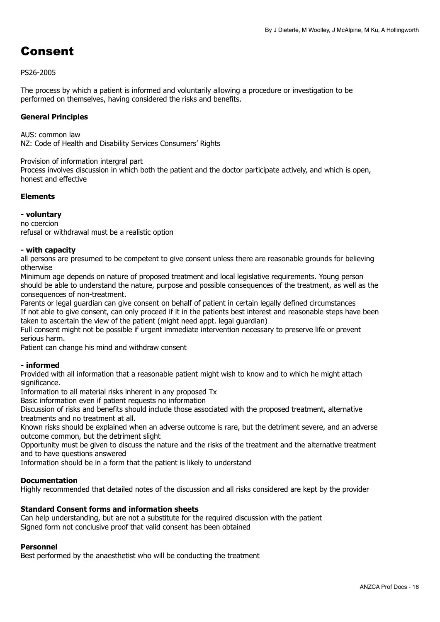## <span id="page-15-0"></span>Consent

## PS26-2005

The process by which a patient is informed and voluntarily allowing a procedure or investigation to be performed on themselves, having considered the risks and benefits.

## **General Principles**

AUS: common law NZ: Code of Health and Disability Services Consumers' Rights

Provision of information intergral part

Process involves discussion in which both the patient and the doctor participate actively, and which is open, honest and effective

## **Elements**

**- voluntary**  no coercion refusal or withdrawal must be a realistic option

### **- with capacity**

all persons are presumed to be competent to give consent unless there are reasonable grounds for believing otherwise

Minimum age depends on nature of proposed treatment and local legislative requirements. Young person should be able to understand the nature, purpose and possible consequences of the treatment, as well as the consequences of non-treatment.

Parents or legal guardian can give consent on behalf of patient in certain legally defined circumstances If not able to give consent, can only proceed if it in the patients best interest and reasonable steps have been taken to ascertain the view of the patient (might need appt. legal guardian)

Full consent might not be possible if urgent immediate intervention necessary to preserve life or prevent serious harm.

Patient can change his mind and withdraw consent

### **- informed**

Provided with all information that a reasonable patient might wish to know and to which he might attach significance.

Information to all material risks inherent in any proposed Tx

Basic information even if patient requests no information

Discussion of risks and benefits should include those associated with the proposed treatment, alternative treatments and no treatment at all.

Known risks should be explained when an adverse outcome is rare, but the detriment severe, and an adverse outcome common, but the detriment slight

Opportunity must be given to discuss the nature and the risks of the treatment and the alternative treatment and to have questions answered

Information should be in a form that the patient is likely to understand

### **Documentation**

Highly recommended that detailed notes of the discussion and all risks considered are kept by the provider

### **Standard Consent forms and information sheets**

Can help understanding, but are not a substitute for the required discussion with the patient Signed form not conclusive proof that valid consent has been obtained

### **Personnel**

Best performed by the anaesthetist who will be conducting the treatment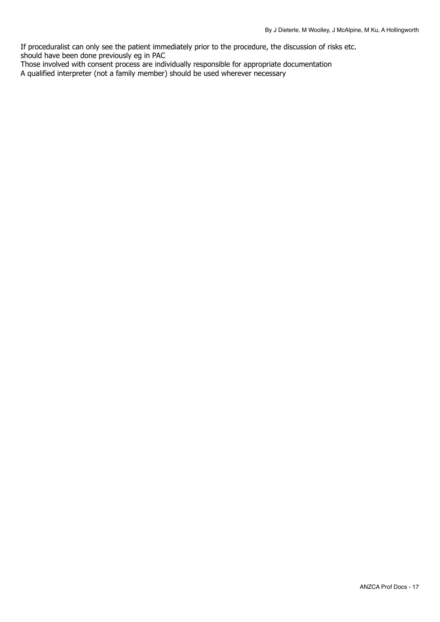If proceduralist can only see the patient immediately prior to the procedure, the discussion of risks etc. should have been done previously eg in PAC

Those involved with consent process are individually responsible for appropriate documentation A qualified interpreter (not a family member) should be used wherever necessary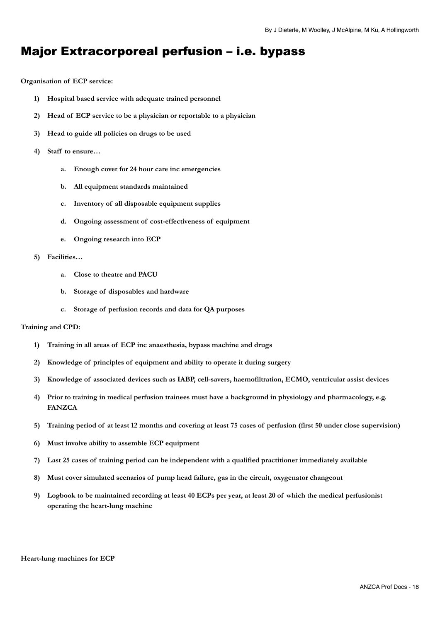## <span id="page-17-0"></span>Major Extracorporeal perfusion – i.e. bypass

#### **Organisation of ECP service:**

- **1) Hospital based service with adequate trained personnel**
- **2) Head of ECP service to be a physician or reportable to a physician**
- **3) Head to guide all policies on drugs to be used**
- **4) Staff to ensure…** 
	- **a. Enough cover for 24 hour care inc emergencies**
	- **b. All equipment standards maintained**
	- **c. Inventory of all disposable equipment supplies**
	- **d. Ongoing assessment of cost-effectiveness of equipment**
	- **e. Ongoing research into ECP**

#### **5) Facilities…**

- **a. Close to theatre and PACU**
- **b. Storage of disposables and hardware**
- **c. Storage of perfusion records and data for QA purposes**

#### **Training and CPD:**

- **1) Training in all areas of ECP inc anaesthesia, bypass machine and drugs**
- **2) Knowledge of principles of equipment and ability to operate it during surgery**
- **3) Knowledge of associated devices such as IABP, cell-savers, haemofiltration, ECMO, ventricular assist devices**
- **4) Prior to training in medical perfusion trainees must have a background in physiology and pharmacology, e.g. FANZCA**
- **5) Training period of at least 12 months and covering at least 75 cases of perfusion (first 50 under close supervision)**
- **6) Must involve ability to assemble ECP equipment**
- **7) Last 25 cases of training period can be independent with a qualified practitioner immediately available**
- **8) Must cover simulated scenarios of pump head failure, gas in the circuit, oxygenator changeout**
- **9) Logbook to be maintained recording at least 40 ECPs per year, at least 20 of which the medical perfusionist operating the heart-lung machine**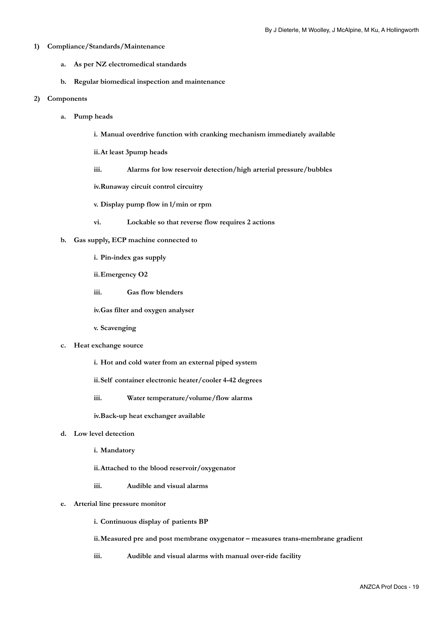#### **1) Compliance/Standards/Maintenance**

- **a. As per NZ electromedical standards**
- **b. Regular biomedical inspection and maintenance**

#### **2) Components**

- **a. Pump heads** 
	- **i. Manual overdrive function with cranking mechanism immediately available**
	- **ii. At least 3pump heads**
	- **iii. Alarms for low reservoir detection/high arterial pressure/bubbles**

**iv. Runaway circuit control circuitry** 

**v. Display pump flow in l/min or rpm** 

**vi. Lockable so that reverse flow requires 2 actions** 

#### **b. Gas supply, ECP machine connected to**

- **i. Pin-index gas supply**
- **ii. Emergency O2**
- **iii. Gas flow blenders**
- **iv. Gas filter and oxygen analyser**
- **v. Scavenging**
- **c. Heat exchange source** 
	- **i. Hot and cold water from an external piped system**
	- **ii. Self container electronic heater/cooler 4-42 degrees**
	- **iii. Water temperature/volume/flow alarms**

**iv. Back-up heat exchanger available** 

- **d. Low level detection** 
	- **i. Mandatory**
	- **ii. Attached to the blood reservoir/oxygenator**
	- **iii. Audible and visual alarms**

#### **e. Arterial line pressure monitor**

- **i. Continuous display of patients BP**
- **ii. Measured pre and post membrane oxygenator measures trans-membrane gradient**
- **iii. Audible and visual alarms with manual over-ride facility**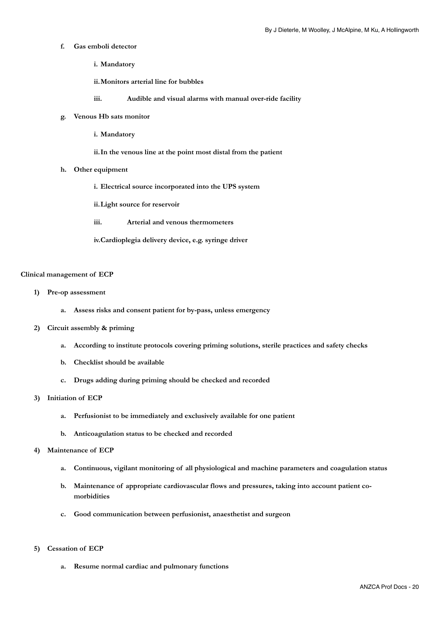- **f. Gas emboli detector** 
	- **i. Mandatory**
	- **ii. Monitors arterial line for bubbles**
	- **iii. Audible and visual alarms with manual over-ride facility**
- **g. Venous Hb sats monitor** 
	- **i. Mandatory**
	- **ii. In the venous line at the point most distal from the patient**
- **h. Other equipment** 
	- **i. Electrical source incorporated into the UPS system**
	- **ii. Light source for reservoir**
	- **iii. Arterial and venous thermometers**
	- **iv. Cardioplegia delivery device, e.g. syringe driver**

#### **Clinical management of ECP**

- **1) Pre-op assessment** 
	- **a. Assess risks and consent patient for by-pass, unless emergency**
- **2) Circuit assembly & priming** 
	- **a. According to institute protocols covering priming solutions, sterile practices and safety checks**
	- **b. Checklist should be available**
	- **c. Drugs adding during priming should be checked and recorded**
- **3) Initiation of ECP** 
	- **a. Perfusionist to be immediately and exclusively available for one patient**
	- **b. Anticoagulation status to be checked and recorded**
- **4) Maintenance of ECP** 
	- **a. Continuous, vigilant monitoring of all physiological and machine parameters and coagulation status**
	- **b. Maintenance of appropriate cardiovascular flows and pressures, taking into account patient comorbidities**
	- **c. Good communication between perfusionist, anaesthetist and surgeon**
- **5) Cessation of ECP** 
	- **a. Resume normal cardiac and pulmonary functions**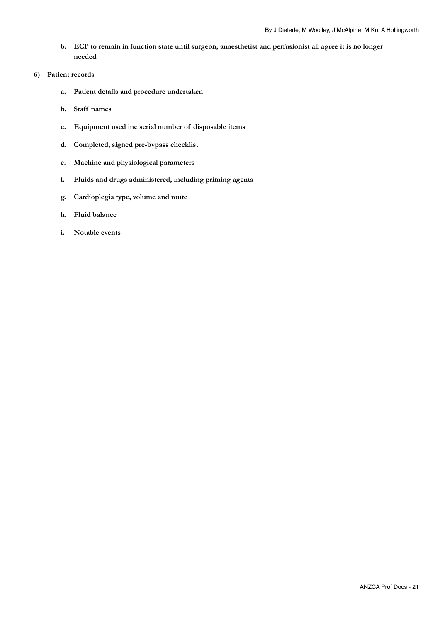- **b. ECP to remain in function state until surgeon, anaesthetist and perfusionist all agree it is no longer needed**
- **6) Patient records** 
	- **a. Patient details and procedure undertaken**
	- **b. Staff names**
	- **c. Equipment used inc serial number of disposable items**
	- **d. Completed, signed pre-bypass checklist**
	- **e. Machine and physiological parameters**
	- **f. Fluids and drugs administered, including priming agents**
	- **g. Cardioplegia type, volume and route**
	- **h. Fluid balance**
	- **i. Notable events**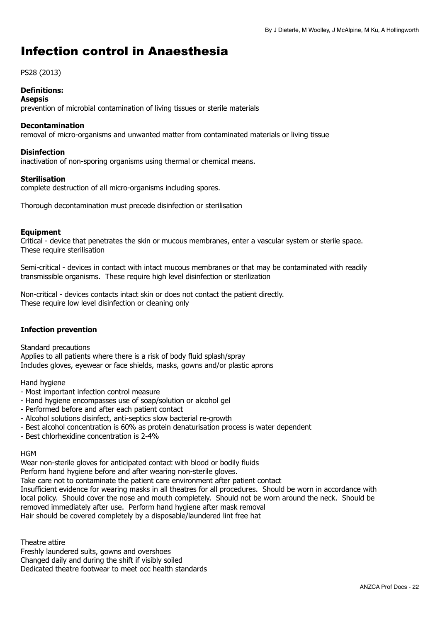## <span id="page-21-0"></span>Infection control in Anaesthesia

## PS28 (2013)

## **Definitions:**

### **Asepsis**

prevention of microbial contamination of living tissues or sterile materials

### **Decontamination**

removal of micro-organisms and unwanted matter from contaminated materials or living tissue

### **Disinfection**

inactivation of non-sporing organisms using thermal or chemical means.

## **Sterilisation**

complete destruction of all micro-organisms including spores.

Thorough decontamination must precede disinfection or sterilisation

## **Equipment**

Critical - device that penetrates the skin or mucous membranes, enter a vascular system or sterile space. These require sterilisation

Semi-critical - devices in contact with intact mucous membranes or that may be contaminated with readily transmissible organisms. These require high level disinfection or sterilization

Non-critical - devices contacts intact skin or does not contact the patient directly. These require low level disinfection or cleaning only

## **Infection prevention**

Standard precautions Applies to all patients where there is a risk of body fluid splash/spray Includes gloves, eyewear or face shields, masks, gowns and/or plastic aprons

Hand hygiene

- Most important infection control measure
- Hand hygiene encompasses use of soap/solution or alcohol gel
- Performed before and after each patient contact
- Alcohol solutions disinfect, anti-septics slow bacterial re-growth
- Best alcohol concentration is 60% as protein denaturisation process is water dependent
- Best chlorhexidine concentration is 2-4%

### **HGM**

Wear non-sterile gloves for anticipated contact with blood or bodily fluids

Perform hand hygiene before and after wearing non-sterile gloves.

Take care not to contaminate the patient care environment after patient contact

Insufficient evidence for wearing masks in all theatres for all procedures. Should be worn in accordance with local policy. Should cover the nose and mouth completely. Should not be worn around the neck. Should be removed immediately after use. Perform hand hygiene after mask removal Hair should be covered completely by a disposable/laundered lint free hat

Theatre attire

Freshly laundered suits, gowns and overshoes Changed daily and during the shift if visibly soiled Dedicated theatre footwear to meet occ health standards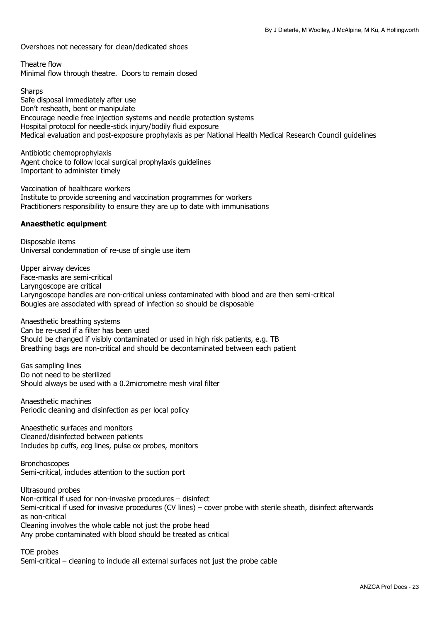Overshoes not necessary for clean/dedicated shoes

Theatre flow Minimal flow through theatre. Doors to remain closed

**Sharps** Safe disposal immediately after use Don't resheath, bent or manipulate Encourage needle free injection systems and needle protection systems Hospital protocol for needle-stick injury/bodily fluid exposure Medical evaluation and post-exposure prophylaxis as per National Health Medical Research Council guidelines

Antibiotic chemoprophylaxis Agent choice to follow local surgical prophylaxis guidelines Important to administer timely

Vaccination of healthcare workers Institute to provide screening and vaccination programmes for workers Practitioners responsibility to ensure they are up to date with immunisations

### **Anaesthetic equipment**

Disposable items Universal condemnation of re-use of single use item

Upper airway devices Face-masks are semi-critical Laryngoscope are critical Laryngoscope handles are non-critical unless contaminated with blood and are then semi-critical Bougies are associated with spread of infection so should be disposable

Anaesthetic breathing systems Can be re-used if a filter has been used Should be changed if visibly contaminated or used in high risk patients, e.g. TB Breathing bags are non-critical and should be decontaminated between each patient

Gas sampling lines Do not need to be sterilized Should always be used with a 0.2micrometre mesh viral filter

Anaesthetic machines Periodic cleaning and disinfection as per local policy

Anaesthetic surfaces and monitors Cleaned/disinfected between patients Includes bp cuffs, ecg lines, pulse ox probes, monitors

Bronchoscopes Semi-critical, includes attention to the suction port

Ultrasound probes Non-critical if used for non-invasive procedures – disinfect Semi-critical if used for invasive procedures (CV lines) – cover probe with sterile sheath, disinfect afterwards as non-critical Cleaning involves the whole cable not just the probe head Any probe contaminated with blood should be treated as critical

TOE probes

Semi-critical – cleaning to include all external surfaces not just the probe cable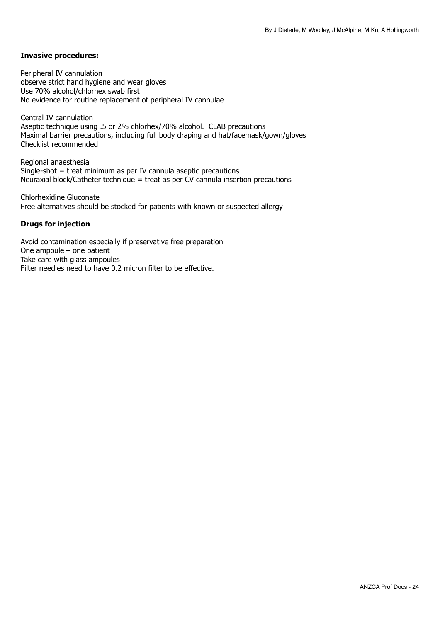### **Invasive procedures:**

Peripheral IV cannulation observe strict hand hygiene and wear gloves Use 70% alcohol/chlorhex swab first No evidence for routine replacement of peripheral IV cannulae

Central IV cannulation Aseptic technique using .5 or 2% chlorhex/70% alcohol. CLAB precautions Maximal barrier precautions, including full body draping and hat/facemask/gown/gloves Checklist recommended

Regional anaesthesia Single-shot = treat minimum as per IV cannula aseptic precautions Neuraxial block/Catheter technique = treat as per CV cannula insertion precautions

Chlorhexidine Gluconate Free alternatives should be stocked for patients with known or suspected allergy

### **Drugs for injection**

Avoid contamination especially if preservative free preparation One ampoule – one patient Take care with glass ampoules Filter needles need to have 0.2 micron filter to be effective.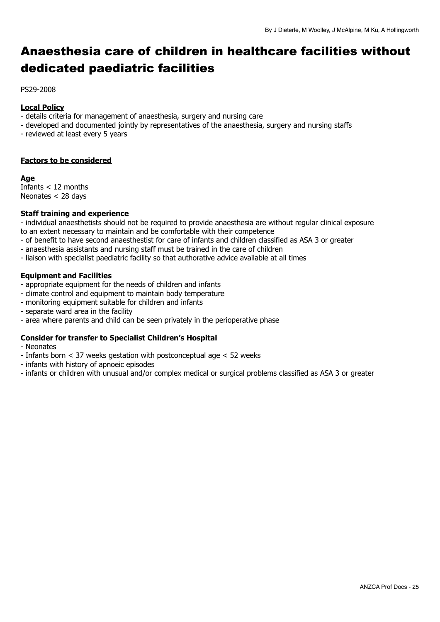## <span id="page-24-0"></span>Anaesthesia care of children in healthcare facilities without dedicated paediatric facilities

PS29-2008

### **Local Policy**

- details criteria for management of anaesthesia, surgery and nursing care
- developed and documented jointly by representatives of the anaesthesia, surgery and nursing staffs
- reviewed at least every 5 years

## **Factors to be considered**

#### **Age**

Infants < 12 months Neonates < 28 days

## **Staff training and experience**

- individual anaesthetists should not be required to provide anaesthesia are without regular clinical exposure to an extent necessary to maintain and be comfortable with their competence

- of benefit to have second anaesthestist for care of infants and children classified as ASA 3 or greater
- anaesthesia assistants and nursing staff must be trained in the care of children
- liaison with specialist paediatric facility so that authorative advice available at all times

## **Equipment and Facilities**

- appropriate equipment for the needs of children and infants
- climate control and equipment to maintain body temperature
- monitoring equipment suitable for children and infants
- separate ward area in the facility
- area where parents and child can be seen privately in the perioperative phase

## **Consider for transfer to Specialist Children's Hospital**

- Neonates
- Infants born < 37 weeks gestation with postconceptual age < 52 weeks
- infants with history of apnoeic episodes
- infants or children with unusual and/or complex medical or surgical problems classified as ASA 3 or greater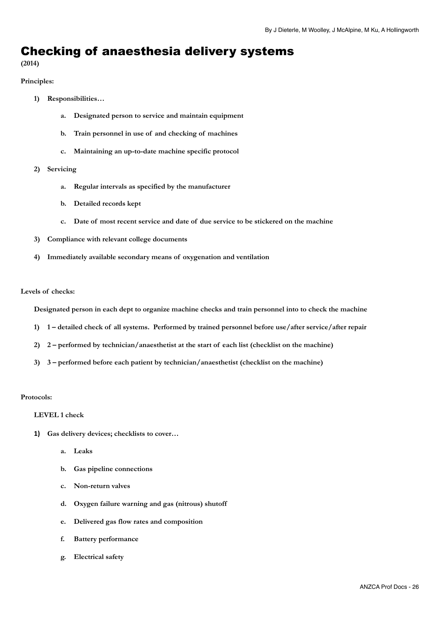## <span id="page-25-0"></span>Checking of anaesthesia delivery systems

#### **(2014)**

#### **Principles:**

- **1) Responsibilities…** 
	- **a. Designated person to service and maintain equipment**
	- **b. Train personnel in use of and checking of machines**
	- **c. Maintaining an up-to-date machine specific protocol**
- **2) Servicing** 
	- **a. Regular intervals as specified by the manufacturer**
	- **b. Detailed records kept**
	- **c. Date of most recent service and date of due service to be stickered on the machine**
- **3) Compliance with relevant college documents**
- **4) Immediately available secondary means of oxygenation and ventilation**

#### **Levels of checks:**

**Designated person in each dept to organize machine checks and train personnel into to check the machine** 

- **1) 1 detailed check of all systems. Performed by trained personnel before use/after service/after repair**
- **2) 2 performed by technician/anaesthetist at the start of each list (checklist on the machine)**
- **3) 3 performed before each patient by technician/anaesthetist (checklist on the machine)**

#### **Protocols:**

#### **LEVEL 1 check**

- **1) Gas delivery devices; checklists to cover…** 
	- **a. Leaks**
	- **b. Gas pipeline connections**
	- **c. Non-return valves**
	- **d. Oxygen failure warning and gas (nitrous) shutoff**
	- **e. Delivered gas flow rates and composition**
	- **f. Battery performance**
	- **g. Electrical safety**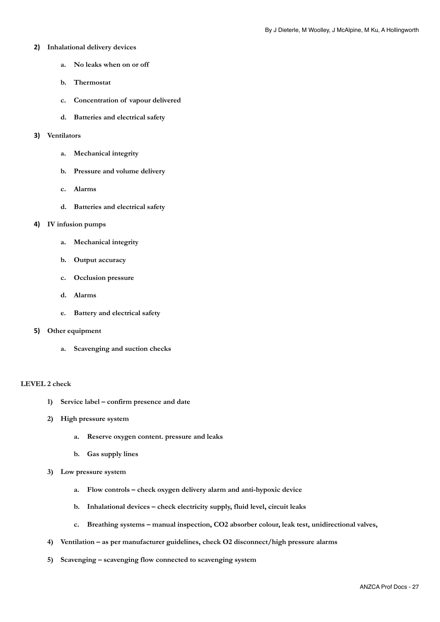#### **2) Inhalational delivery devices**

- **a. No leaks when on or off**
- **b. Thermostat**
- **c. Concentration of vapour delivered**
- **d. Batteries and electrical safety**

#### **3) Ventilators**

- **a. Mechanical integrity**
- **b. Pressure and volume delivery**
- **c. Alarms**
- **d. Batteries and electrical safety**

#### **4) IV infusion pumps**

- **a. Mechanical integrity**
- **b. Output accuracy**
- **c. Occlusion pressure**
- **d. Alarms**
- **e. Battery and electrical safety**

#### **5) Other equipment**

**a. Scavenging and suction checks** 

#### **LEVEL 2 check**

- **1) Service label confirm presence and date**
- **2) High pressure system** 
	- **a. Reserve oxygen content. pressure and leaks**
	- **b. Gas supply lines**
- **3) Low pressure system** 
	- **a. Flow controls check oxygen delivery alarm and anti-hypoxic device**
	- **b. Inhalational devices check electricity supply, fluid level, circuit leaks**
	- **c. Breathing systems manual inspection, CO2 absorber colour, leak test, unidirectional valves,**
- **4) Ventilation as per manufacturer guidelines, check O2 disconnect/high pressure alarms**
- **5) Scavenging scavenging flow connected to scavenging system**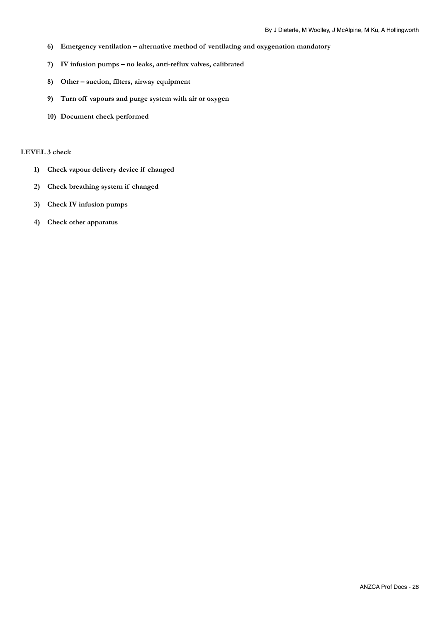- **6) Emergency ventilation alternative method of ventilating and oxygenation mandatory**
- **7) IV infusion pumps no leaks, anti-reflux valves, calibrated**
- **8) Other suction, filters, airway equipment**
- **9) Turn off vapours and purge system with air or oxygen**
- **10) Document check performed**

#### **LEVEL 3 check**

- **1) Check vapour delivery device if changed**
- **2) Check breathing system if changed**
- **3) Check IV infusion pumps**
- **4) Check other apparatus**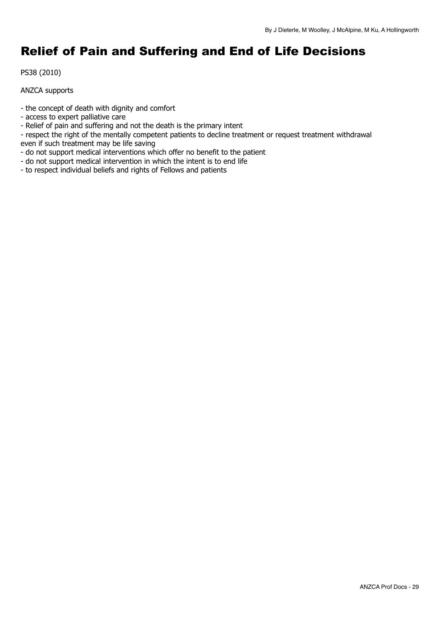## <span id="page-28-0"></span>Relief of Pain and Suffering and End of Life Decisions

PS38 (2010)

ANZCA supports

- the concept of death with dignity and comfort

- access to expert palliative care
- Relief of pain and suffering and not the death is the primary intent
- respect the right of the mentally competent patients to decline treatment or request treatment withdrawal even if such treatment may be life saving
- do not support medical interventions which offer no benefit to the patient
- do not support medical intervention in which the intent is to end life
- to respect individual beliefs and rights of Fellows and patients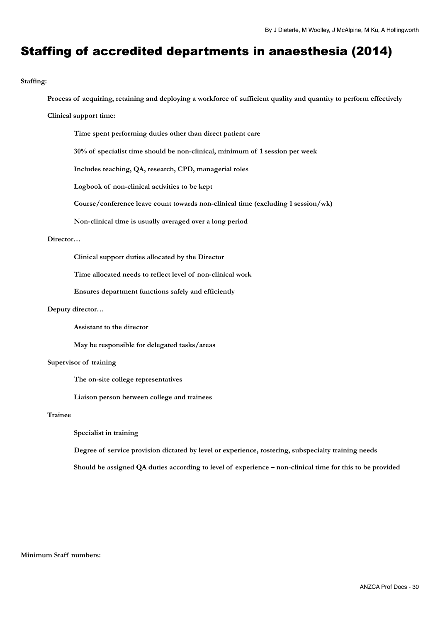## <span id="page-29-0"></span>Staffing of accredited departments in anaesthesia (2014)

#### **Staffing:**

**Process of acquiring, retaining and deploying a workforce of sufficient quality and quantity to perform effectively**

#### **Clinical support time:**

**Time spent performing duties other than direct patient care** 

**30% of specialist time should be non-clinical, minimum of 1 session per week** 

**Includes teaching, QA, research, CPD, managerial roles** 

**Logbook of non-clinical activities to be kept** 

**Course/conference leave count towards non-clinical time (excluding 1 session/wk)** 

**Non-clinical time is usually averaged over a long period** 

#### **Director…**

**Clinical support duties allocated by the Director** 

**Time allocated needs to reflect level of non-clinical work** 

**Ensures department functions safely and efficiently** 

#### **Deputy director…**

 **Assistant to the director** 

 **May be responsible for delegated tasks/areas** 

#### **Supervisor of training**

**The on-site college representatives** 

**Liaison person between college and trainees** 

#### **Trainee**

**Specialist in training** 

**Degree of service provision dictated by level or experience, rostering, subspecialty training needs** 

**Should be assigned QA duties according to level of experience – non-clinical time for this to be provided** 

#### **Minimum Staff numbers:**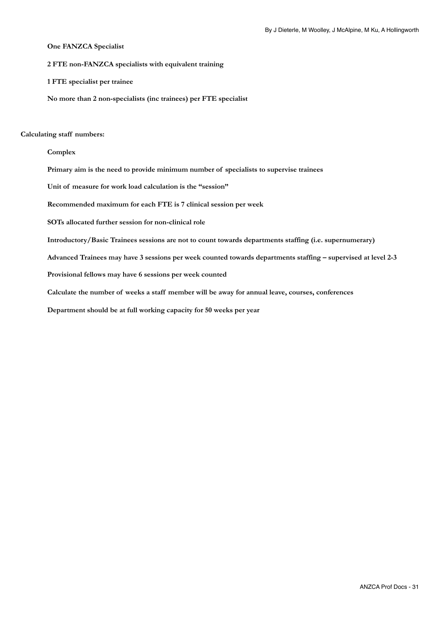#### **One FANZCA Specialist**

**2 FTE non-FANZCA specialists with equivalent training** 

**1 FTE specialist per trainee** 

**No more than 2 non-specialists (inc trainees) per FTE specialist** 

#### **Calculating staff numbers:**

**Complex** 

**Primary aim is the need to provide minimum number of specialists to supervise trainees** 

**Unit of measure for work load calculation is the "session"** 

**Recommended maximum for each FTE is 7 clinical session per week** 

**SOTs allocated further session for non-clinical role** 

**Introductory/Basic Trainees sessions are not to count towards departments staffing (i.e. supernumerary)** 

**Advanced Trainees may have 3 sessions per week counted towards departments staffing – supervised at level 2-3** 

**Provisional fellows may have 6 sessions per week counted** 

**Calculate the number of weeks a staff member will be away for annual leave, courses, conferences** 

**Department should be at full working capacity for 50 weeks per year**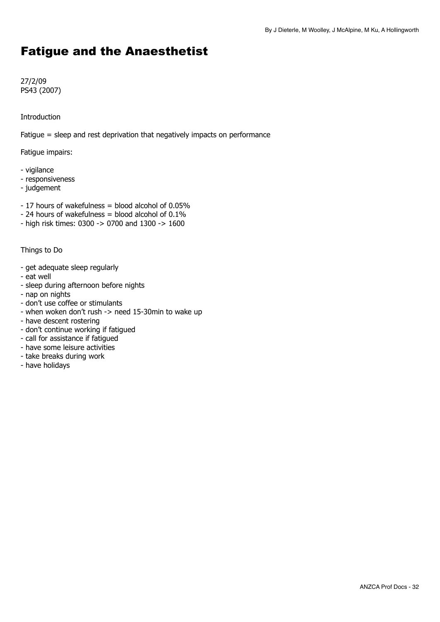## <span id="page-31-0"></span>Fatigue and the Anaesthetist

27/2/09 PS43 (2007)

Introduction

Fatigue = sleep and rest deprivation that negatively impacts on performance

Fatigue impairs:

- vigilance
- responsiveness
- judgement
- 17 hours of wakefulness = blood alcohol of 0.05%
- 24 hours of wakefulness = blood alcohol of 0.1%
- high risk times: 0300 -> 0700 and 1300 -> 1600

Things to Do

- get adequate sleep regularly
- eat well
- sleep during afternoon before nights
- nap on nights
- don't use coffee or stimulants
- when woken don't rush -> need 15-30min to wake up
- have descent rostering
- don't continue working if fatigued
- call for assistance if fatigued
- have some leisure activities
- take breaks during work
- have holidays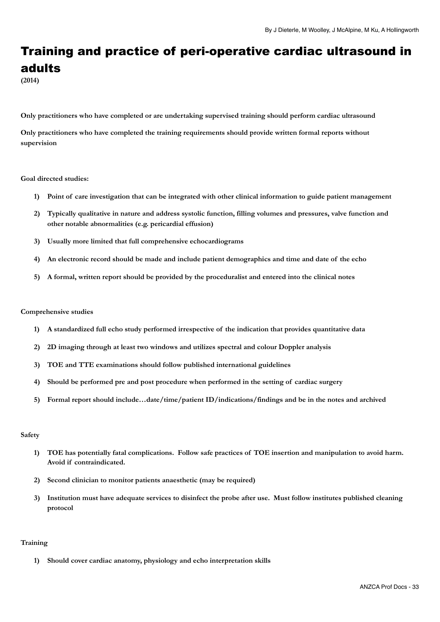## <span id="page-32-0"></span>Training and practice of peri-operative cardiac ultrasound in adults

**(2014)** 

**Only practitioners who have completed or are undertaking supervised training should perform cardiac ultrasound** 

**Only practitioners who have completed the training requirements should provide written formal reports without supervision** 

#### **Goal directed studies:**

- **1) Point of care investigation that can be integrated with other clinical information to guide patient management**
- **2) Typically qualitative in nature and address systolic function, filling volumes and pressures, valve function and other notable abnormalities (e.g. pericardial effusion)**
- **3) Usually more limited that full comprehensive echocardiograms**
- **4) An electronic record should be made and include patient demographics and time and date of the echo**
- **5) A formal, written report should be provided by the proceduralist and entered into the clinical notes**

#### **Comprehensive studies**

- **1) A standardized full echo study performed irrespective of the indication that provides quantitative data**
- **2) 2D imaging through at least two windows and utilizes spectral and colour Doppler analysis**
- **3) TOE and TTE examinations should follow published international guidelines**
- **4) Should be performed pre and post procedure when performed in the setting of cardiac surgery**
- **5) Formal report should include…date/time/patient ID/indications/findings and be in the notes and archived**

#### **Safety**

- **1) TOE has potentially fatal complications. Follow safe practices of TOE insertion and manipulation to avoid harm. Avoid if contraindicated.**
- **2) Second clinician to monitor patients anaesthetic (may be required)**
- **3) Institution must have adequate services to disinfect the probe after use. Must follow institutes published cleaning protocol**

#### **Training**

**1) Should cover cardiac anatomy, physiology and echo interpretation skills**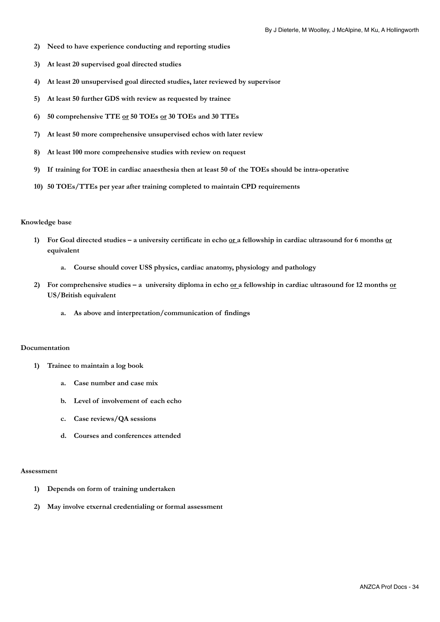- **2) Need to have experience conducting and reporting studies**
- **3) At least 20 supervised goal directed studies**
- **4) At least 20 unsupervised goal directed studies, later reviewed by supervisor**
- **5) At least 50 further GDS with review as requested by trainee**
- **6) 50 comprehensive TTE or 50 TOEs or 30 TOEs and 30 TTEs**
- **7) At least 50 more comprehensive unsupervised echos with later review**
- **8) At least 100 more comprehensive studies with review on request**
- **9) If training for TOE in cardiac anaesthesia then at least 50 of the TOEs should be intra-operative**
- **10) 50 TOEs/TTEs per year after training completed to maintain CPD requirements**

#### **Knowledge base**

- **1) For Goal directed studies a university certificate in echo or a fellowship in cardiac ultrasound for 6 months or equivalent** 
	- **a. Course should cover USS physics, cardiac anatomy, physiology and pathology**
- 2) For comprehensive studies a university diploma in echo <u>or a</u> fellowship in cardiac ultrasound for 12 months or **US/British equivalent** 
	- **a. As above and interpretation/communication of findings**

#### **Documentation**

- **1) Trainee to maintain a log book** 
	- **a. Case number and case mix**
	- **b. Level of involvement of each echo**
	- **c. Case reviews/QA sessions**
	- **d. Courses and conferences attended**

#### **Assessment**

- **1) Depends on form of training undertaken**
- **2) May involve etxernal credentialing or formal assessment**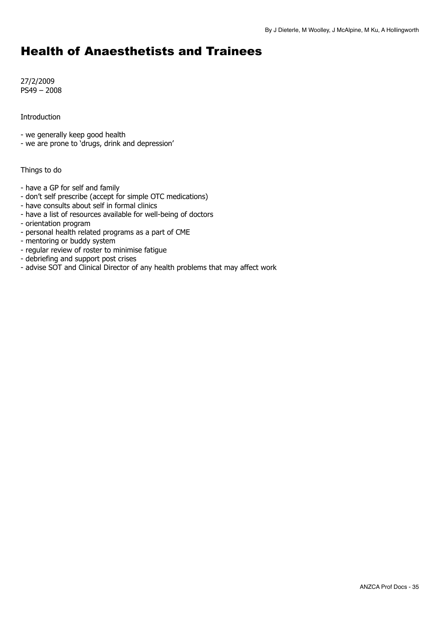## <span id="page-34-0"></span>Health of Anaesthetists and Trainees

27/2/2009 PS49 – 2008

Introduction

- we generally keep good health

- we are prone to 'drugs, drink and depression'

Things to do

- have a GP for self and family
- don't self prescribe (accept for simple OTC medications)
- have consults about self in formal clinics
- have a list of resources available for well-being of doctors
- orientation program
- personal health related programs as a part of CME
- mentoring or buddy system
- regular review of roster to minimise fatigue
- debriefing and support post crises
- advise SOT and Clinical Director of any health problems that may affect work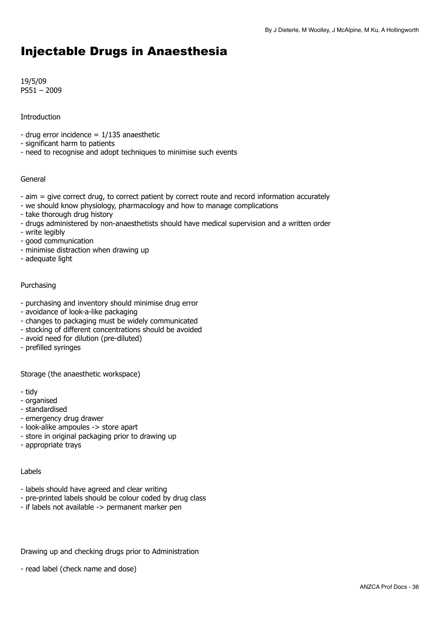## <span id="page-35-0"></span>Injectable Drugs in Anaesthesia

19/5/09 PS51 – 2009

## **Introduction**

- drug error incidence  $= 1/135$  anaesthetic
- significant harm to patients
- need to recognise and adopt techniques to minimise such events

### General

- aim = give correct drug, to correct patient by correct route and record information accurately
- we should know physiology, pharmacology and how to manage complications
- take thorough drug history
- drugs administered by non-anaesthetists should have medical supervision and a written order
- write legibly
- good communication
- minimise distraction when drawing up
- adequate light

## Purchasing

- purchasing and inventory should minimise drug error
- avoidance of look-a-like packaging
- changes to packaging must be widely communicated
- stocking of different concentrations should be avoided
- avoid need for dilution (pre-diluted)
- prefilled syringes

Storage (the anaesthetic workspace)

- tidy
- organised
- standardised
- emergency drug drawer
- look-alike ampoules -> store apart
- store in original packaging prior to drawing up
- appropriate trays

### Labels

- labels should have agreed and clear writing
- pre-printed labels should be colour coded by drug class
- if labels not available -> permanent marker pen

Drawing up and checking drugs prior to Administration

- read label (check name and dose)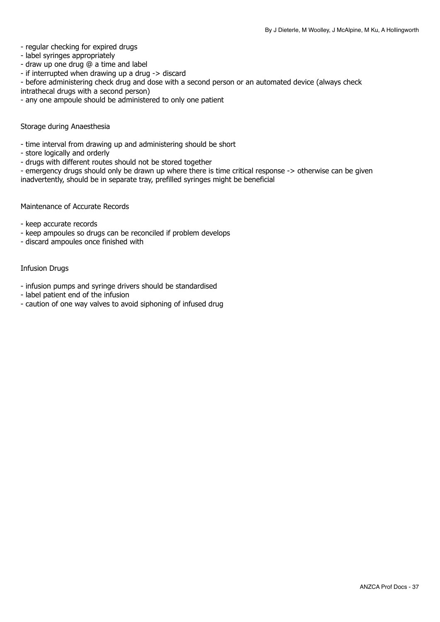### - regular checking for expired drugs

- label syringes appropriately
- draw up one drug @ a time and label
- if interrupted when drawing up a drug -> discard
- before administering check drug and dose with a second person or an automated device (always check
- intrathecal drugs with a second person)
- any one ampoule should be administered to only one patient

#### Storage during Anaesthesia

- time interval from drawing up and administering should be short
- store logically and orderly
- drugs with different routes should not be stored together

- emergency drugs should only be drawn up where there is time critical response -> otherwise can be given inadvertently, should be in separate tray, prefilled syringes might be beneficial

Maintenance of Accurate Records

- keep accurate records

- keep ampoules so drugs can be reconciled if problem develops
- discard ampoules once finished with

#### Infusion Drugs

- infusion pumps and syringe drivers should be standardised
- label patient end of the infusion
- caution of one way valves to avoid siphoning of infused drug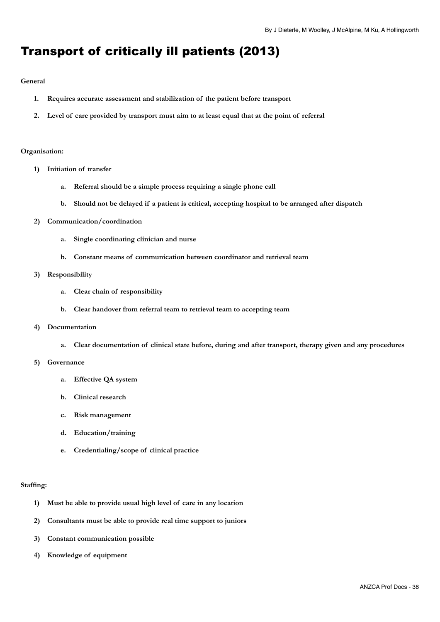## <span id="page-37-0"></span>Transport of critically ill patients (2013)

#### **General**

- **1. Requires accurate assessment and stabilization of the patient before transport**
- **2. Level of care provided by transport must aim to at least equal that at the point of referral**

#### **Organisation:**

- **1) Initiation of transfer** 
	- **a. Referral should be a simple process requiring a single phone call**
	- **b. Should not be delayed if a patient is critical, accepting hospital to be arranged after dispatch**
- **2) Communication/coordination** 
	- **a. Single coordinating clinician and nurse**
	- **b. Constant means of communication between coordinator and retrieval team**

#### **3) Responsibility**

- **a. Clear chain of responsibility**
- **b. Clear handover from referral team to retrieval team to accepting team**

#### **4) Documentation**

**a. Clear documentation of clinical state before, during and after transport, therapy given and any procedures** 

#### **5) Governance**

- **a. Effective QA system**
- **b. Clinical research**
- **c. Risk management**
- **d. Education/training**
- **e. Credentialing/scope of clinical practice**

#### **Staffing:**

- **1) Must be able to provide usual high level of care in any location**
- **2) Consultants must be able to provide real time support to juniors**
- **3) Constant communication possible**
- **4) Knowledge of equipment**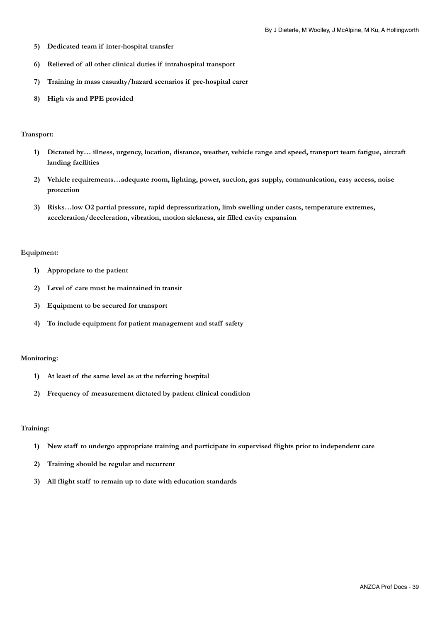- **5) Dedicated team if inter-hospital transfer**
- **6) Relieved of all other clinical duties if intrahospital transport**
- **7) Training in mass casualty/hazard scenarios if pre-hospital carer**
- **8) High vis and PPE provided**

#### **Transport:**

- **1) Dictated by… illness, urgency, location, distance, weather, vehicle range and speed, transport team fatigue, aircraft landing facilities**
- **2) Vehicle requirements…adequate room, lighting, power, suction, gas supply, communication, easy access, noise protection**
- **3) Risks…low O2 partial pressure, rapid depressurization, limb swelling under casts, temperature extremes, acceleration/deceleration, vibration, motion sickness, air filled cavity expansion**

#### **Equipment:**

- **1) Appropriate to the patient**
- **2) Level of care must be maintained in transit**
- **3) Equipment to be secured for transport**
- **4) To include equipment for patient management and staff safety**

#### **Monitoring:**

- **1) At least of the same level as at the referring hospital**
- **2) Frequency of measurement dictated by patient clinical condition**

#### **Training:**

- **1) New staff to undergo appropriate training and participate in supervised flights prior to independent care**
- **2) Training should be regular and recurrent**
- **3) All flight staff to remain up to date with education standards**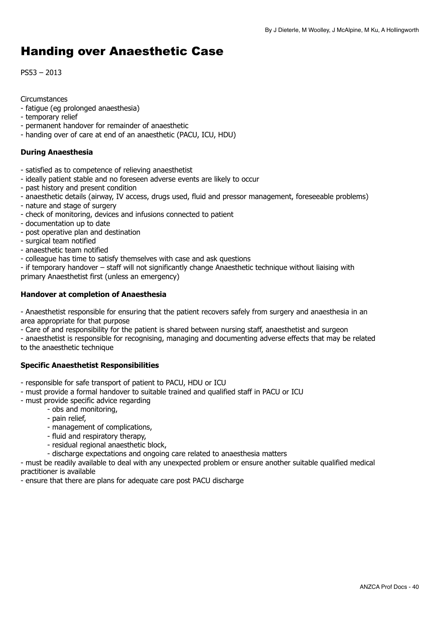## <span id="page-39-0"></span>Handing over Anaesthetic Case

PS53 – 2013

## **Circumstances**

- fatigue (eg prolonged anaesthesia)
- temporary relief
- permanent handover for remainder of anaesthetic
- handing over of care at end of an anaesthetic (PACU, ICU, HDU)

## **During Anaesthesia**

- satisfied as to competence of relieving anaesthetist
- ideally patient stable and no foreseen adverse events are likely to occur
- past history and present condition
- anaesthetic details (airway, IV access, drugs used, fluid and pressor management, foreseeable problems)
- nature and stage of surgery
- check of monitoring, devices and infusions connected to patient
- documentation up to date
- post operative plan and destination
- surgical team notified
- anaesthetic team notified
- colleague has time to satisfy themselves with case and ask questions
- if temporary handover staff will not significantly change Anaesthetic technique without liaising with primary Anaesthetist first (unless an emergency)

## **Handover at completion of Anaesthesia**

- Anaesthetist responsible for ensuring that the patient recovers safely from surgery and anaesthesia in an area appropriate for that purpose

- Care of and responsibility for the patient is shared between nursing staff, anaesthetist and surgeon

- anaesthetist is responsible for recognising, managing and documenting adverse effects that may be related to the anaesthetic technique

## **Specific Anaesthetist Responsibilities**

- responsible for safe transport of patient to PACU, HDU or ICU
- must provide a formal handover to suitable trained and qualified staff in PACU or ICU
- must provide specific advice regarding
	- obs and monitoring,
	- pain relief,
	- management of complications,
	- fluid and respiratory therapy,
	- residual regional anaesthetic block,
	- discharge expectations and ongoing care related to anaesthesia matters

- must be readily available to deal with any unexpected problem or ensure another suitable qualified medical practitioner is available

- ensure that there are plans for adequate care post PACU discharge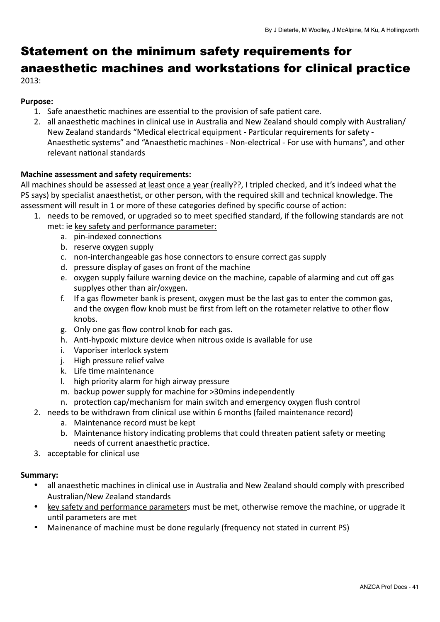## <span id="page-40-0"></span>Statement on the minimum safety requirements for anaesthetic machines and workstations for clinical practice 2013:

## **Purpose:**

- 1. Safe anaesthetic machines are essential to the provision of safe patient care.
- 2. all anaesthetic machines in clinical use in Australia and New Zealand should comply with Australian/ New Zealand standards "Medical electrical equipment - Particular requirements for safety -Anaesthetic systems" and "Anaesthetic machines - Non-electrical - For use with humans", and other relevant national standards

## **Machine assessment and safety requirements:**

All machines should be assessed at least once a year (really??, I tripled checked, and it's indeed what the PS says) by specialist anaesthetist, or other person, with the required skill and technical knowledge. The assessment will result in 1 or more of these categories defined by specific course of action:

- 1. needs to be removed, or upgraded so to meet specified standard, if the following standards are not met: ie key safety and performance parameter:
	- a. pin-indexed connections
	- b. reserve oxygen supply
	- c. non-interchangeable gas hose connectors to ensure correct gas supply
	- d. pressure display of gases on front of the machine
	- e. oxygen supply failure warning device on the machine, capable of alarming and cut off gas supplyes other than air/oxygen.
	- f. If a gas flowmeter bank is present, oxygen must be the last gas to enter the common gas, and the oxygen flow knob must be first from left on the rotameter relative to other flow knobs.
	- g. Only one gas flow control knob for each gas.
	- h. Anti-hypoxic mixture device when nitrous oxide is available for use
	- i. Vaporiser interlock system
	- j. High pressure relief valve
	- k. Life time maintenance
	- I. high priority alarm for high airway pressure
	- m. backup power supply for machine for >30mins independently
	- n. protection cap/mechanism for main switch and emergency oxygen flush control
- 2. needs to be withdrawn from clinical use within 6 months (failed maintenance record)
	- a. Maintenance record must be kept
	- b. Maintenance history indicating problems that could threaten patient safety or meeting needs of current anaesthetic practice.
- 3. acceptable for clinical use

## Summary:

- all anaesthetic machines in clinical use in Australia and New Zealand should comply with prescribed Australian/New Zealand standards
- key safety and performance parameters must be met, otherwise remove the machine, or upgrade it until parameters are met
- Mainenance of machine must be done regularly (frequency not stated in current PS)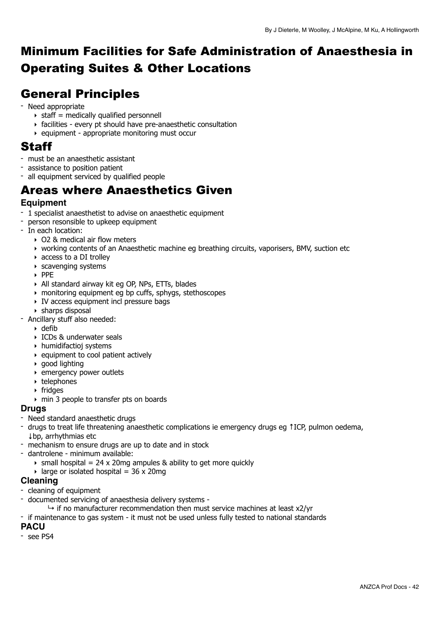## <span id="page-41-0"></span>Minimum Facilities for Safe Administration of Anaesthesia in Operating Suites & Other Locations

## <span id="page-41-1"></span>General Principles

- Need appropriate
	- $\rightarrow$  staff = medically qualified personnell
	- ‣ facilities every pt should have pre-anaesthetic consultation
	- $\rightarrow$  equipment appropriate monitoring must occur

## <span id="page-41-2"></span>Staff

- must be an anaesthetic assistant
- assistance to position patient
- all equipment serviced by qualified people

## <span id="page-41-3"></span>Areas where Anaesthetics Given

## **Equipment**

- 1 specialist anaesthetist to advise on anaesthetic equipment
- person resonsible to upkeep equipment
- In each location:
	- ‣ O2 & medical air flow meters
	- ‣ working contents of an Anaesthetic machine eg breathing circuits, vaporisers, BMV, suction etc
	- ‣ access to a DI trolley
	- ‣ scavenging systems
	- ‣ PPE
	- ‣ All standard airway kit eg OP, NPs, ETTs, blades
	- ‣ monitoring equipment eg bp cuffs, sphygs, stethoscopes
	- ‣ IV access equipment incl pressure bags
	- ‣ sharps disposal
- Ancillary stuff also needed:
	- $\rightarrow$  defib
	- ‣ ICDs & underwater seals
	- ‣ humidifactioj systems
	- $\rightarrow$  equipment to cool patient actively
	- ‣ good lighting
	- ‣ emergency power outlets
	- ‣ telephones
	- ‣ fridges
	- ‣ min 3 people to transfer pts on boards

## **Drugs**

- Need standard anaesthetic drugs
- drugs to treat life threatening anaesthetic complications ie emergency drugs eg ↑ICP, pulmon oedema, ↓bp, arrhythmias etc
- mechanism to ensure drugs are up to date and in stock
- dantrolene minimum available:
	- $\rightarrow$  small hospital = 24 x 20mg ampules & ability to get more quickly
	- $\rightarrow$  large or isolated hospital = 36 x 20mg

## **Cleaning**

- cleaning of equipment
- documented servicing of anaesthesia delivery systems
	- $\rightarrow$  if no manufacturer recommendation then must service machines at least x2/yr

- if maintenance to gas system - it must not be used unless fully tested to national standards

## **PACU**

- see PS4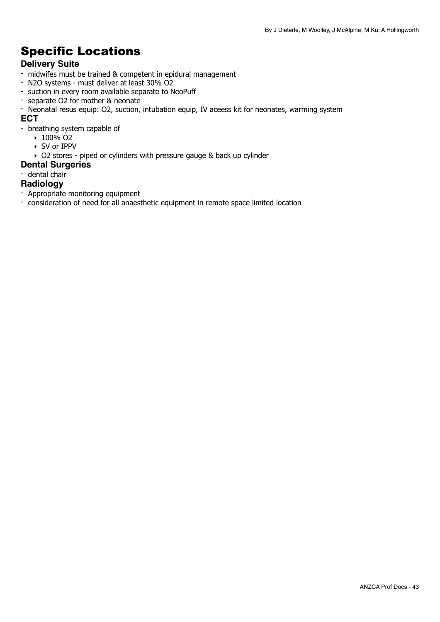## <span id="page-42-0"></span>Specific Locations

## **Delivery Suite**

- midwifes must be trained & competent in epidural management
- N2O systems must deliver at least 30% O2
- suction in every room available separate to NeoPuff
- separate O2 for mother & neonate
- Neonatal resus equip: O2, suction, intubation equip, IV aceess kit for neonates, warming system **ECT**
- breathing system capable of
	- $\cdot$  100% O<sub>2</sub>
	- ‣ SV or IPPV
	- ‣ O2 stores piped or cylinders with pressure gauge & back up cylinder
- **Dental Surgeries**
- dental chair

## **Radiology**

- Appropriate monitoring equipment
- consideration of need for all anaesthetic equipment in remote space limited location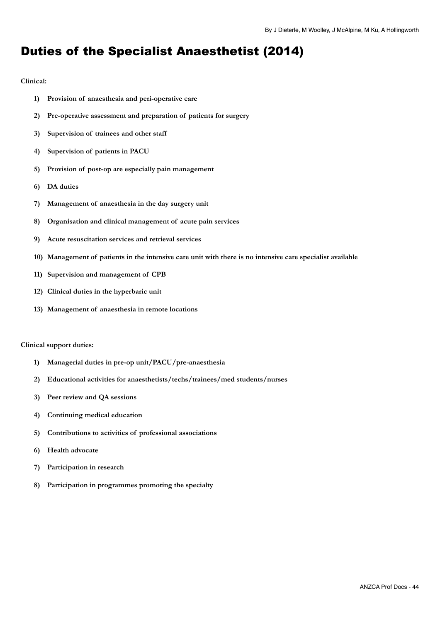## <span id="page-43-0"></span>Duties of the Specialist Anaesthetist (2014)

#### **Clinical:**

- **1) Provision of anaesthesia and peri-operative care**
- **2) Pre-operative assessment and preparation of patients for surgery**
- **3) Supervision of trainees and other staff**
- **4) Supervision of patients in PACU**
- **5) Provision of post-op are especially pain management**
- **6) DA duties**
- **7) Management of anaesthesia in the day surgery unit**
- **8) Organisation and clinical management of acute pain services**
- **9) Acute resuscitation services and retrieval services**
- **10) Management of patients in the intensive care unit with there is no intensive care specialist available**
- **11) Supervision and management of CPB**
- **12) Clinical duties in the hyperbaric unit**
- **13) Management of anaesthesia in remote locations**

#### **Clinical support duties:**

- **1) Managerial duties in pre-op unit/PACU/pre-anaesthesia**
- **2) Educational activities for anaesthetists/techs/trainees/med students/nurses**
- **3) Peer review and QA sessions**
- **4) Continuing medical education**
- **5) Contributions to activities of professional associations**
- **6) Health advocate**
- **7) Participation in research**
- **8) Participation in programmes promoting the specialty**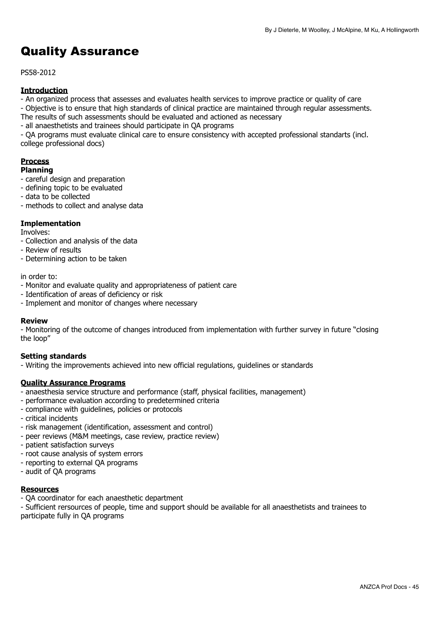## <span id="page-44-0"></span>Quality Assurance

PS58-2012

## **Introduction**

- An organized process that assesses and evaluates health services to improve practice or quality of care

- Objective is to ensure that high standards of clinical practice are maintained through regular assessments.

- The results of such assessments should be evaluated and actioned as necessary
- all anaesthetists and trainees should participate in QA programs

- QA programs must evaluate clinical care to ensure consistency with accepted professional standarts (incl. college professional docs)

#### **Process Planning**

- careful design and preparation
- defining topic to be evaluated
- data to be collected
- methods to collect and analyse data

## **Implementation**

Involves:

- Collection and analysis of the data
- Review of results
- Determining action to be taken

#### in order to:

- Monitor and evaluate quality and appropriateness of patient care
- Identification of areas of deficiency or risk
- Implement and monitor of changes where necessary

### **Review**

- Monitoring of the outcome of changes introduced from implementation with further survey in future "closing the loop"

### **Setting standards**

- Writing the improvements achieved into new official regulations, guidelines or standards

### **Quality Assurance Programs**

- anaesthesia service structure and performance (staff, physical facilities, management)
- performance evaluation according to predetermined criteria
- compliance with guidelines, policies or protocols
- critical incidents
- risk management (identification, assessment and control)
- peer reviews (M&M meetings, case review, practice review)
- patient satisfaction surveys
- root cause analysis of system errors
- reporting to external QA programs
- audit of QA programs

### **Resources**

- QA coordinator for each anaesthetic department

- Sufficient rersources of people, time and support should be available for all anaesthetists and trainees to participate fully in QA programs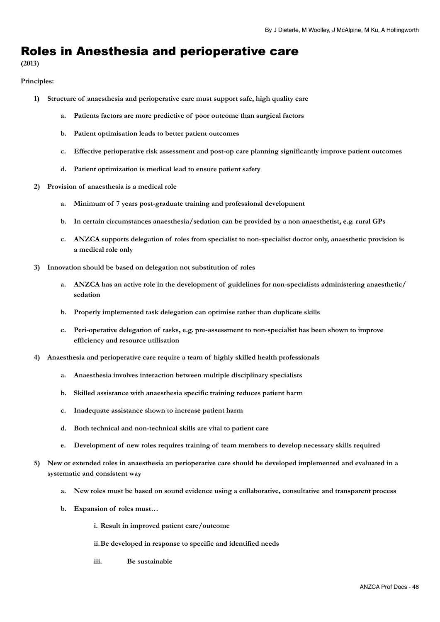## <span id="page-45-0"></span>Roles in Anesthesia and perioperative care

**(2013)** 

#### **Principles:**

- **1) Structure of anaesthesia and perioperative care must support safe, high quality care** 
	- **a. Patients factors are more predictive of poor outcome than surgical factors**
	- **b. Patient optimisation leads to better patient outcomes**
	- **c. Effective perioperative risk assessment and post-op care planning significantly improve patient outcomes**
	- **d. Patient optimization is medical lead to ensure patient safety**
- **2) Provision of anaesthesia is a medical role** 
	- **a. Minimum of 7 years post-graduate training and professional development**
	- **b. In certain circumstances anaesthesia/sedation can be provided by a non anaesthetist, e.g. rural GPs**
	- **c. ANZCA supports delegation of roles from specialist to non-specialist doctor only, anaesthetic provision is a medical role only**
- **3) Innovation should be based on delegation not substitution of roles** 
	- **a. ANZCA has an active role in the development of guidelines for non-specialists administering anaesthetic/ sedation**
	- **b. Properly implemented task delegation can optimise rather than duplicate skills**
	- **c. Peri-operative delegation of tasks, e.g. pre-assessment to non-specialist has been shown to improve efficiency and resource utilisation**
- **4) Anaesthesia and perioperative care require a team of highly skilled health professionals** 
	- **a. Anaesthesia involves interaction between multiple disciplinary specialists**
	- **b. Skilled assistance with anaesthesia specific training reduces patient harm**
	- **c. Inadequate assistance shown to increase patient harm**
	- **d. Both technical and non-technical skills are vital to patient care**
	- **e. Development of new roles requires training of team members to develop necessary skills required**
- **5) New or extended roles in anaesthesia an perioperative care should be developed implemented and evaluated in a systematic and consistent way** 
	- **a. New roles must be based on sound evidence using a collaborative, consultative and transparent process**
	- **b. Expansion of roles must…** 
		- **i. Result in improved patient care/outcome**
		- **ii. Be developed in response to specific and identified needs**
		- **iii. Be sustainable**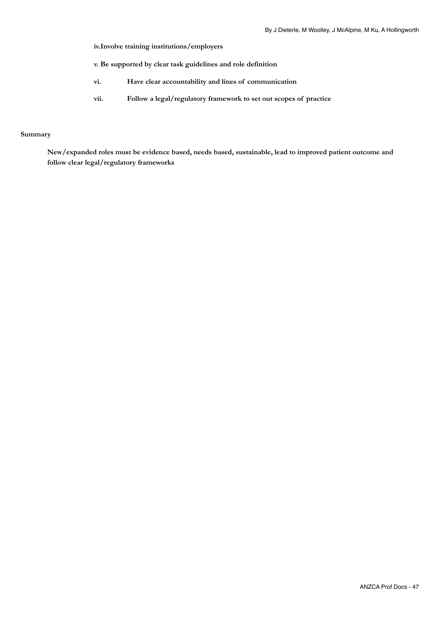**iv. Involve training institutions/employers** 

**v. Be supported by clear task guidelines and role definition** 

- **vi. Have clear accountability and lines of communication**
- **vii. Follow a legal/regulatory framework to set out scopes of practice**

#### **Summary**

**New/expanded roles must be evidence based, needs based, sustainable, lead to improved patient outcome and follow clear legal/regulatory frameworks**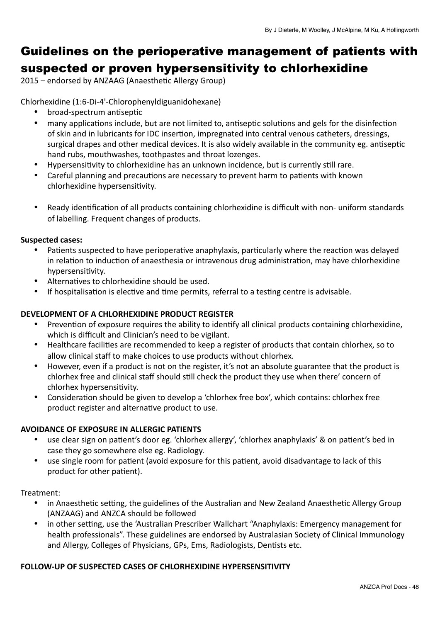## <span id="page-47-0"></span>Guidelines on the perioperative management of patients with suspected or proven hypersensitivity to chlorhexidine

2015 - endorsed by ANZAAG (Anaesthetic Allergy Group)

Chlorhexidine (1:6-Di-4'-Chlorophenyldiguanidohexane) 

- broad-spectrum antiseptic
- many applications include, but are not limited to, antiseptic solutions and gels for the disinfection of skin and in lubricants for IDC insertion, impregnated into central venous catheters, dressings, surgical drapes and other medical devices. It is also widely available in the community eg. antiseptic hand rubs, mouthwashes, toothpastes and throat lozenges.
- Hypersensitivity to chlorhexidine has an unknown incidence, but is currently still rare.
- Careful planning and precautions are necessary to prevent harm to patients with known chlorhexidine hypersensitivity.
- Ready identification of all products containing chlorhexidine is difficult with non- uniform standards of labelling. Frequent changes of products.

## **Suspected cases:**

- Patients suspected to have perioperative anaphylaxis, particularly where the reaction was delayed in relation to induction of anaesthesia or intravenous drug administration, may have chlorhexidine hypersensitivity.
- Alternatives to chlorhexidine should be used.
- If hospitalisation is elective and time permits, referral to a testing centre is advisable.

## **DEVELOPMENT OF A CHLORHEXIDINE PRODUCT REGISTER**

- Prevention of exposure requires the ability to identify all clinical products containing chlorhexidine, which is difficult and Clinician's need to be vigilant.
- Healthcare facilities are recommended to keep a register of products that contain chlorhex, so to allow clinical staff to make choices to use products without chlorhex.
- However, even if a product is not on the register, it's not an absolute guarantee that the product is chlorhex free and clinical staff should still check the product they use when there' concern of chlorhex hypersensitivity.
- Consideration should be given to develop a 'chlorhex free box', which contains: chlorhex free product register and alternative product to use.

## **AVOIDANCE OF EXPOSURE IN ALLERGIC PATIENTS**

- use clear sign on patient's door eg. 'chlorhex allergy', 'chlorhex anaphylaxis' & on patient's bed in case they go somewhere else eg. Radiology.
- use single room for patient (avoid exposure for this patient, avoid disadvantage to lack of this product for other patient).

## Treatment:

- in Anaesthetic setting, the guidelines of the Australian and New Zealand Anaesthetic Allergy Group (ANZAAG) and ANZCA should be followed
- in other setting, use the 'Australian Prescriber Wallchart "Anaphylaxis: Emergency management for health professionals". These guidelines are endorsed by Australasian Society of Clinical Immunology and Allergy, Colleges of Physicians, GPs, Ems, Radiologists, Dentists etc.

## **FOLLOW-UP OF SUSPECTED CASES OF CHLORHEXIDINE HYPERSENSITIVITY**